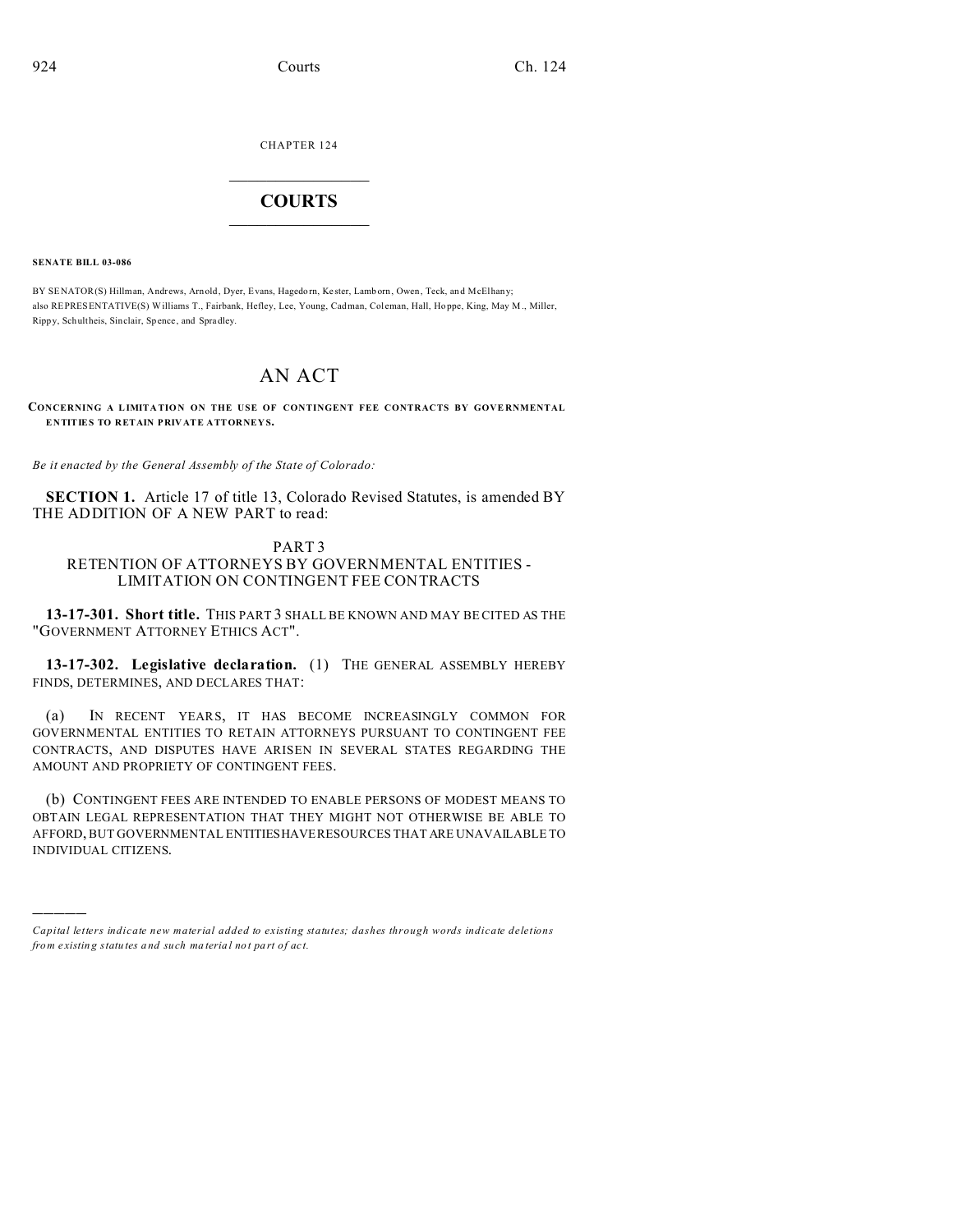CHAPTER 124  $\overline{\phantom{a}}$  , where  $\overline{\phantom{a}}$ 

## **COURTS**  $\_$

**SENATE BILL 03-086**

)))))

BY SENATOR(S) Hillman, Andrews, Arnold, Dyer, Evans, Hagedorn, Kester, Lamborn, Owen, Teck, and McElhany; also REPRESENTATIVE(S) Williams T., Fairbank, Hefley, Lee, Young, Cadman, Col eman, Hall, Ho ppe, King, May M., Miller, Rippy, Schultheis, Sinclair, Sp ence, and Spradley.

## AN ACT

**CONCERNING A LIMITATION ON THE USE OF CONTINGENT FEE CONTRACTS BY GOVERNMENTAL ENTITIES TO RETAIN PRIVATE ATTORNEYS.**

*Be it enacted by the General Assembly of the State of Colorado:*

**SECTION 1.** Article 17 of title 13, Colorado Revised Statutes, is amended BY THE ADDITION OF A NEW PART to read:

## PART 3 RETENTION OF ATTORNEYS BY GOVERNMENTAL ENTITIES - LIMITATION ON CONTINGENT FEE CONTRACTS

**13-17-301. Short title.** THIS PART 3 SHALL BE KNOWN AND MAY BE CITED AS THE "GOVERNMENT ATTORNEY ETHICS ACT".

**13-17-302. Legislative declaration.** (1) THE GENERAL ASSEMBLY HEREBY FINDS, DETERMINES, AND DECLARES THAT:

(a) IN RECENT YEARS, IT HAS BECOME INCREASINGLY COMMON FOR GOVERNMENTAL ENTITIES TO RETAIN ATTORNEYS PURSUANT TO CONTINGENT FEE CONTRACTS, AND DISPUTES HAVE ARISEN IN SEVERAL STATES REGARDING THE AMOUNT AND PROPRIETY OF CONTINGENT FEES.

(b) CONTINGENT FEES ARE INTENDED TO ENABLE PERSONS OF MODEST MEANS TO OBTAIN LEGAL REPRESENTATION THAT THEY MIGHT NOT OTHERWISE BE ABLE TO AFFORD, BUT GOVERNMENTAL ENTITIESHAVE RESOURCES THAT ARE UNAVAILABLE TO INDIVIDUAL CITIZENS.

*Capital letters indicate new material added to existing statutes; dashes through words indicate deletions from e xistin g statu tes a nd such ma teria l no t pa rt of ac t.*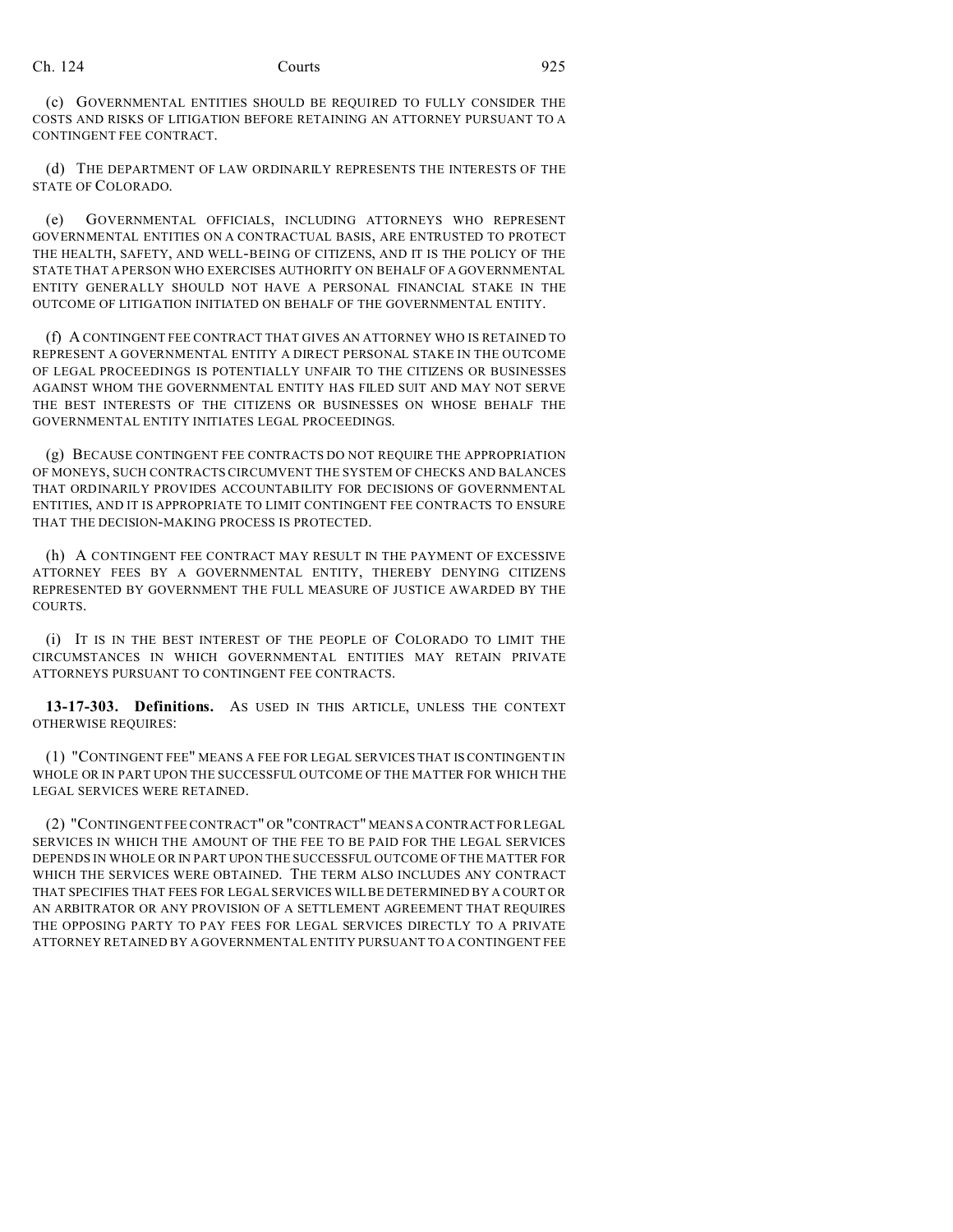(c) GOVERNMENTAL ENTITIES SHOULD BE REQUIRED TO FULLY CONSIDER THE COSTS AND RISKS OF LITIGATION BEFORE RETAINING AN ATTORNEY PURSUANT TO A CONTINGENT FEE CONTRACT.

(d) THE DEPARTMENT OF LAW ORDINARILY REPRESENTS THE INTERESTS OF THE STATE OF COLORADO.

(e) GOVERNMENTAL OFFICIALS, INCLUDING ATTORNEYS WHO REPRESENT GOVERNMENTAL ENTITIES ON A CONTRACTUAL BASIS, ARE ENTRUSTED TO PROTECT THE HEALTH, SAFETY, AND WELL-BEING OF CITIZENS, AND IT IS THE POLICY OF THE STATE THAT A PERSON WHO EXERCISES AUTHORITY ON BEHALF OF A GOVERNMENTAL ENTITY GENERALLY SHOULD NOT HAVE A PERSONAL FINANCIAL STAKE IN THE OUTCOME OF LITIGATION INITIATED ON BEHALF OF THE GOVERNMENTAL ENTITY.

(f) A CONTINGENT FEE CONTRACT THAT GIVES AN ATTORNEY WHO IS RETAINED TO REPRESENT A GOVERNMENTAL ENTITY A DIRECT PERSONAL STAKE IN THE OUTCOME OF LEGAL PROCEEDINGS IS POTENTIALLY UNFAIR TO THE CITIZENS OR BUSINESSES AGAINST WHOM THE GOVERNMENTAL ENTITY HAS FILED SUIT AND MAY NOT SERVE THE BEST INTERESTS OF THE CITIZENS OR BUSINESSES ON WHOSE BEHALF THE GOVERNMENTAL ENTITY INITIATES LEGAL PROCEEDINGS.

(g) BECAUSE CONTINGENT FEE CONTRACTS DO NOT REQUIRE THE APPROPRIATION OF MONEYS, SUCH CONTRACTS CIRCUMVENT THE SYSTEM OF CHECKS AND BALANCES THAT ORDINARILY PROVIDES ACCOUNTABILITY FOR DECISIONS OF GOVERNMENTAL ENTITIES, AND IT IS APPROPRIATE TO LIMIT CONTINGENT FEE CONTRACTS TO ENSURE THAT THE DECISION-MAKING PROCESS IS PROTECTED.

(h) A CONTINGENT FEE CONTRACT MAY RESULT IN THE PAYMENT OF EXCESSIVE ATTORNEY FEES BY A GOVERNMENTAL ENTITY, THEREBY DENYING CITIZENS REPRESENTED BY GOVERNMENT THE FULL MEASURE OF JUSTICE AWARDED BY THE COURTS.

(i) IT IS IN THE BEST INTEREST OF THE PEOPLE OF COLORADO TO LIMIT THE CIRCUMSTANCES IN WHICH GOVERNMENTAL ENTITIES MAY RETAIN PRIVATE ATTORNEYS PURSUANT TO CONTINGENT FEE CONTRACTS.

**13-17-303. Definitions.** AS USED IN THIS ARTICLE, UNLESS THE CONTEXT OTHERWISE REQUIRES:

(1) "CONTINGENT FEE" MEANS A FEE FOR LEGAL SERVICES THAT IS CONTINGENT IN WHOLE OR IN PART UPON THE SUCCESSFUL OUTCOME OF THE MATTER FOR WHICH THE LEGAL SERVICES WERE RETAINED.

(2) "CONTINGENT FEE CONTRACT" OR "CONTRACT" MEANS A CONTRACT FOR LEGAL SERVICES IN WHICH THE AMOUNT OF THE FEE TO BE PAID FOR THE LEGAL SERVICES DEPENDS IN WHOLE OR IN PART UPON THE SUCCESSFUL OUTCOME OF THE MATTER FOR WHICH THE SERVICES WERE OBTAINED. THE TERM ALSO INCLUDES ANY CONTRACT THAT SPECIFIES THAT FEES FOR LEGAL SERVICES WILL BE DETERMINED BY A COURT OR AN ARBITRATOR OR ANY PROVISION OF A SETTLEMENT AGREEMENT THAT REQUIRES THE OPPOSING PARTY TO PAY FEES FOR LEGAL SERVICES DIRECTLY TO A PRIVATE ATTORNEY RETAINED BY A GOVERNMENTAL ENTITY PURSUANT TO A CONTINGENT FEE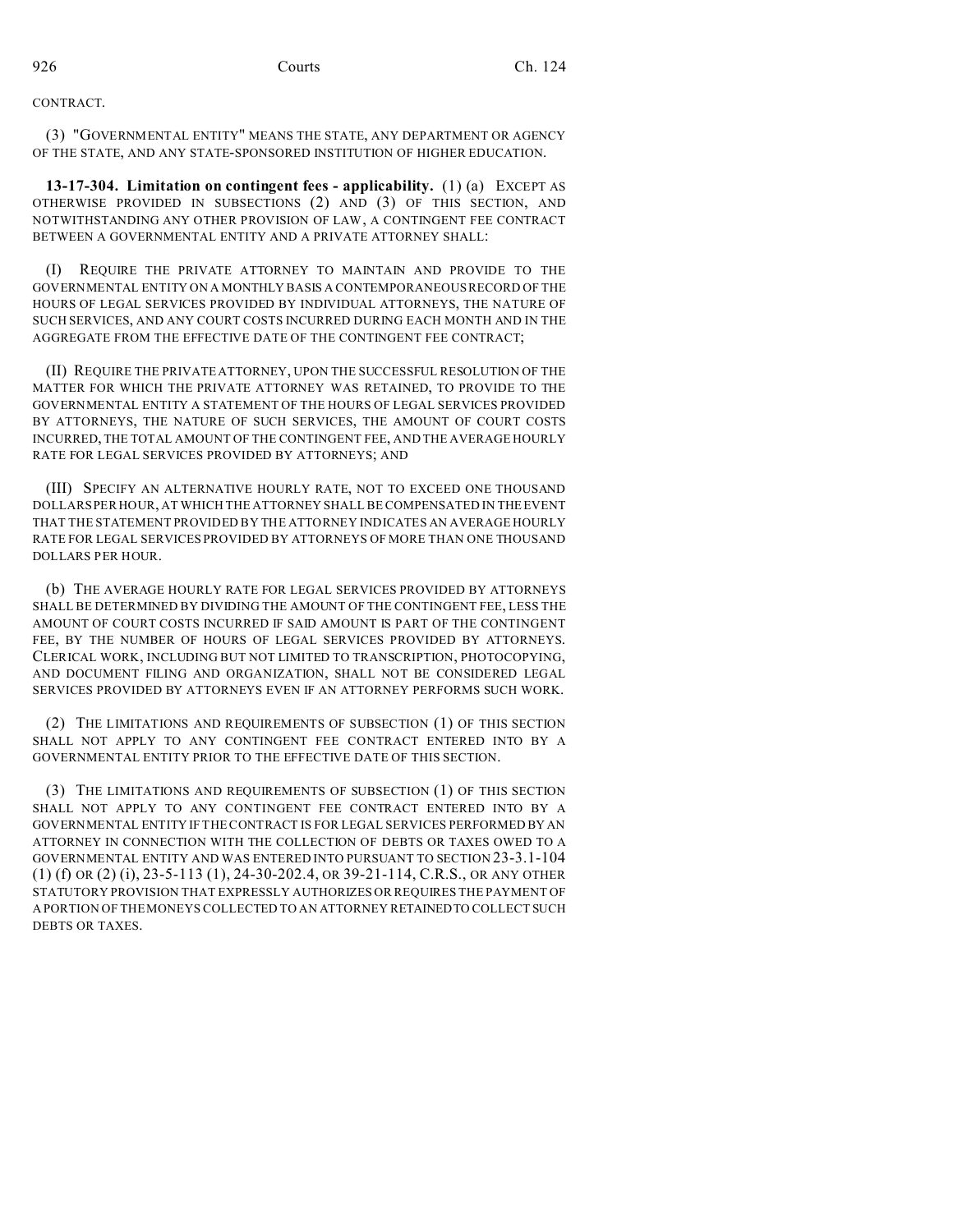CONTRACT.

(3) "GOVERNMENTAL ENTITY" MEANS THE STATE, ANY DEPARTMENT OR AGENCY OF THE STATE, AND ANY STATE-SPONSORED INSTITUTION OF HIGHER EDUCATION.

**13-17-304. Limitation on contingent fees - applicability.** (1) (a) EXCEPT AS OTHERWISE PROVIDED IN SUBSECTIONS (2) AND (3) OF THIS SECTION, AND NOTWITHSTANDING ANY OTHER PROVISION OF LAW, A CONTINGENT FEE CONTRACT BETWEEN A GOVERNMENTAL ENTITY AND A PRIVATE ATTORNEY SHALL:

(I) REQUIRE THE PRIVATE ATTORNEY TO MAINTAIN AND PROVIDE TO THE GOVERNMENTAL ENTITY ON A MONTHLY BASIS A CONTEMPORANEOUS RECORD OF THE HOURS OF LEGAL SERVICES PROVIDED BY INDIVIDUAL ATTORNEYS, THE NATURE OF SUCH SERVICES, AND ANY COURT COSTS INCURRED DURING EACH MONTH AND IN THE AGGREGATE FROM THE EFFECTIVE DATE OF THE CONTINGENT FEE CONTRACT;

(II) REQUIRE THE PRIVATE ATTORNEY, UPON THE SUCCESSFUL RESOLUTION OF THE MATTER FOR WHICH THE PRIVATE ATTORNEY WAS RETAINED, TO PROVIDE TO THE GOVERNMENTAL ENTITY A STATEMENT OF THE HOURS OF LEGAL SERVICES PROVIDED BY ATTORNEYS, THE NATURE OF SUCH SERVICES, THE AMOUNT OF COURT COSTS INCURRED, THE TOTAL AMOUNT OF THE CONTINGENT FEE, AND THE AVERAGE HOURLY RATE FOR LEGAL SERVICES PROVIDED BY ATTORNEYS; AND

(III) SPECIFY AN ALTERNATIVE HOURLY RATE, NOT TO EXCEED ONE THOUSAND DOLLARS PER HOUR, AT WHICH THE ATTORNEY SHALL BE COMPENSATED IN THE EVENT THAT THE STATEMENT PROVIDED BY THE ATTORNEY INDICATES AN AVERAGE HOURLY RATE FOR LEGAL SERVICES PROVIDED BY ATTORNEYS OF MORE THAN ONE THOUSAND DOLLARS PER HOUR.

(b) THE AVERAGE HOURLY RATE FOR LEGAL SERVICES PROVIDED BY ATTORNEYS SHALL BE DETERMINED BY DIVIDING THE AMOUNT OF THE CONTINGENT FEE, LESS THE AMOUNT OF COURT COSTS INCURRED IF SAID AMOUNT IS PART OF THE CONTINGENT FEE, BY THE NUMBER OF HOURS OF LEGAL SERVICES PROVIDED BY ATTORNEYS. CLERICAL WORK, INCLUDING BUT NOT LIMITED TO TRANSCRIPTION, PHOTOCOPYING, AND DOCUMENT FILING AND ORGANIZATION, SHALL NOT BE CONSIDERED LEGAL SERVICES PROVIDED BY ATTORNEYS EVEN IF AN ATTORNEY PERFORMS SUCH WORK.

(2) THE LIMITATIONS AND REQUIREMENTS OF SUBSECTION (1) OF THIS SECTION SHALL NOT APPLY TO ANY CONTINGENT FEE CONTRACT ENTERED INTO BY A GOVERNMENTAL ENTITY PRIOR TO THE EFFECTIVE DATE OF THIS SECTION.

(3) THE LIMITATIONS AND REQUIREMENTS OF SUBSECTION (1) OF THIS SECTION SHALL NOT APPLY TO ANY CONTINGENT FEE CONTRACT ENTERED INTO BY A GOVERNMENTAL ENTITY IF THE CONTRACT IS FOR LEGAL SERVICES PERFORMED BY AN ATTORNEY IN CONNECTION WITH THE COLLECTION OF DEBTS OR TAXES OWED TO A GOVERNMENTAL ENTITY AND WAS ENTERED INTO PURSUANT TO SECTION 23-3.1-104 (1) (f) OR (2) (i), 23-5-113 (1), 24-30-202.4, OR 39-21-114, C.R.S., OR ANY OTHER STATUTORY PROVISION THAT EXPRESSLY AUTHORIZES OR REQUIRES THE PAYMENT OF A PORTION OF THE MONEYS COLLECTED TO AN ATTORNEY RETAINEDTO COLLECT SUCH DEBTS OR TAXES.